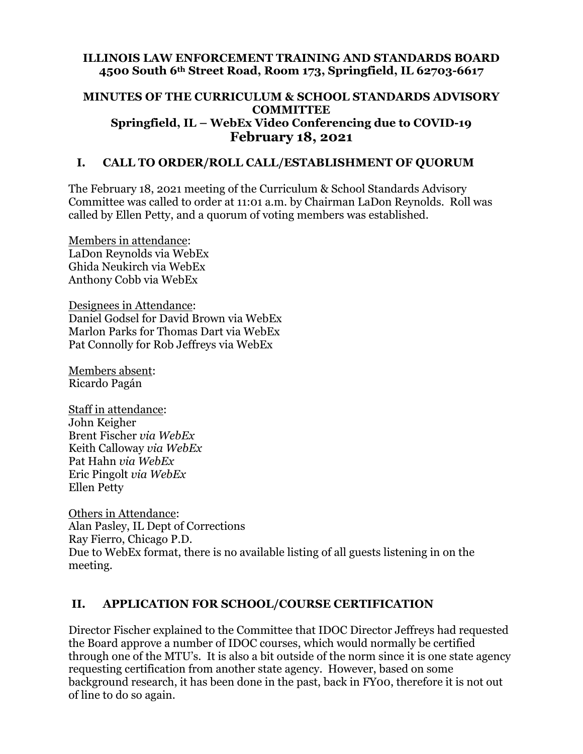### **ILLINOIS LAW ENFORCEMENT TRAINING AND STANDARDS BOARD 4500 South 6th Street Road, Room 173, Springfield, IL 62703-6617**

### **MINUTES OF THE CURRICULUM & SCHOOL STANDARDS ADVISORY COMMITTEE Springfield, IL – WebEx Video Conferencing due to COVID-19 February 18, 2021**

# **I. CALL TO ORDER/ROLL CALL/ESTABLISHMENT OF QUORUM**

The February 18, 2021 meeting of the Curriculum & School Standards Advisory Committee was called to order at 11:01 a.m. by Chairman LaDon Reynolds. Roll was called by Ellen Petty, and a quorum of voting members was established.

Members in attendance: LaDon Reynolds via WebEx Ghida Neukirch via WebEx Anthony Cobb via WebEx

Designees in Attendance: Daniel Godsel for David Brown via WebEx Marlon Parks for Thomas Dart via WebEx Pat Connolly for Rob Jeffreys via WebEx

Members absent: Ricardo Pagán

Staff in attendance: John Keigher Brent Fischer *via WebEx* Keith Calloway *via WebEx* Pat Hahn *via WebEx* Eric Pingolt *via WebEx* Ellen Petty

Others in Attendance: Alan Pasley, IL Dept of Corrections Ray Fierro, Chicago P.D. Due to WebEx format, there is no available listing of all guests listening in on the meeting.

# **II. APPLICATION FOR SCHOOL/COURSE CERTIFICATION**

Director Fischer explained to the Committee that IDOC Director Jeffreys had requested the Board approve a number of IDOC courses, which would normally be certified through one of the MTU's. It is also a bit outside of the norm since it is one state agency requesting certification from another state agency. However, based on some background research, it has been done in the past, back in FY00, therefore it is not out of line to do so again.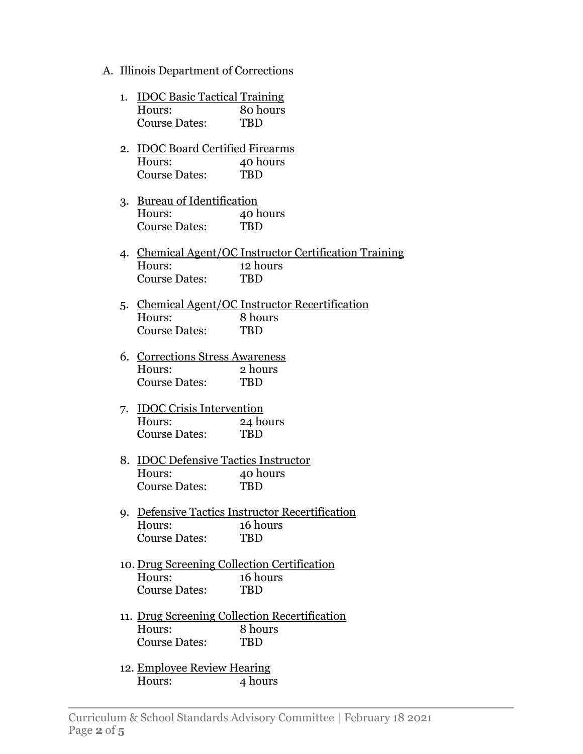A. Illinois Department of Corrections

| 1. IDOC Basic Tactical Training |            |
|---------------------------------|------------|
| Hours:                          | 80 hours   |
| <b>Course Dates:</b>            | <b>TRD</b> |

- 2. IDOC Board Certified Firearms Hours: 40 hours Course Dates: TBD
- 3. Bureau of Identification Hours: 40 hours Course Dates: TBD
- 4. Chemical Agent/OC Instructor Certification Training Hours: 12 hours Course Dates: TBD
- 5. Chemical Agent/OC Instructor Recertification Hours: 8 hours Course Dates: TBD
- 6. Corrections Stress Awareness Hours: 2 hours Course Dates: TBD
- 7. IDOC Crisis Intervention Hours: 24 hours Course Dates: TBD
- 8. IDOC Defensive Tactics Instructor Hours: 40 hours Course Dates: TBD
- 9. Defensive Tactics Instructor Recertification Hours: 16 hours Course Dates: TBD
- 10. Drug Screening Collection Certification Hours: 16 hours Course Dates: TBD
- 11. Drug Screening Collection Recertification Hours: 8 hours Course Dates: TBD
- 12. Employee Review Hearing Hours: 4 hours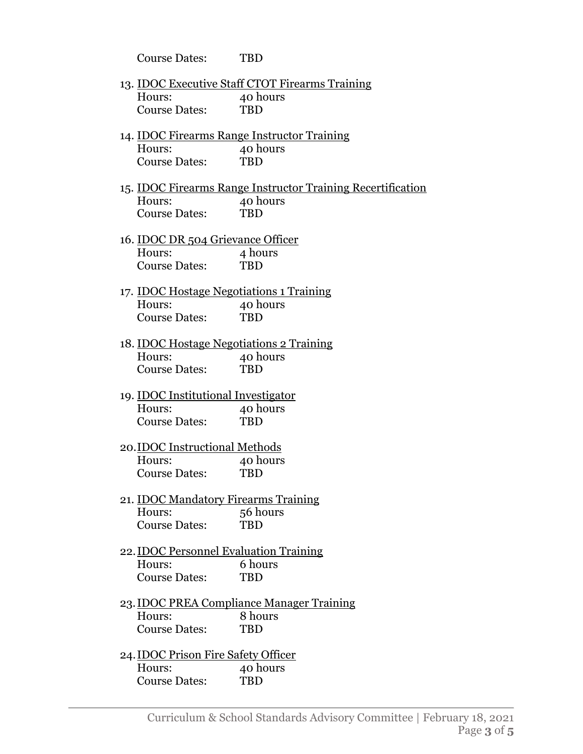|                                                 | <b>Course Dates:</b>                            | <b>TBD</b>                                                         |  |
|-------------------------------------------------|-------------------------------------------------|--------------------------------------------------------------------|--|
|                                                 |                                                 | 13. <b>IDOC Executive Staff CTOT Firearms Training</b>             |  |
|                                                 | Hours:                                          | 40 hours                                                           |  |
|                                                 | <b>Course Dates:</b>                            | <b>TBD</b>                                                         |  |
|                                                 |                                                 |                                                                    |  |
|                                                 |                                                 | 14. <u>IDOC Firearms Range Instructor Training</u>                 |  |
|                                                 | Hours:                                          | 40 hours                                                           |  |
|                                                 | <b>Course Dates:</b>                            | <b>TBD</b>                                                         |  |
|                                                 |                                                 | 15. <b>IDOC Firearms Range Instructor Training Recertification</b> |  |
|                                                 | Hours:                                          | 40 hours                                                           |  |
|                                                 | <b>Course Dates:</b>                            | <b>TBD</b>                                                         |  |
|                                                 |                                                 |                                                                    |  |
|                                                 | 16. <b>IDOC DR</b> 504 Grievance Officer        |                                                                    |  |
|                                                 | Hours:                                          | 4 hours                                                            |  |
|                                                 | <b>Course Dates:</b>                            | <b>TBD</b>                                                         |  |
| 17. <b>IDOC Hostage Negotiations 1 Training</b> |                                                 |                                                                    |  |
|                                                 | Hours:                                          | 40 hours                                                           |  |
|                                                 | <b>Course Dates:</b>                            | <b>TBD</b>                                                         |  |
|                                                 |                                                 |                                                                    |  |
|                                                 | 18. <u>IDOC Hostage Negotiations 2 Training</u> |                                                                    |  |
|                                                 | Hours:                                          | 40 hours                                                           |  |
|                                                 | <b>Course Dates:</b>                            | <b>TBD</b>                                                         |  |
|                                                 | 19. <b>IDOC</b> Institutional Investigator      |                                                                    |  |
|                                                 | Hours:                                          | 40 hours                                                           |  |
|                                                 | <b>Course Dates:</b>                            | <b>TBD</b>                                                         |  |
|                                                 | 20. IDOC Instructional Methods                  |                                                                    |  |
|                                                 | Hours:                                          | 40 hours                                                           |  |
|                                                 | <b>Course Dates:</b>                            | <b>TBD</b>                                                         |  |
|                                                 |                                                 |                                                                    |  |
|                                                 | 21. IDOC Mandatory Firearms Training            |                                                                    |  |
|                                                 | Hours:                                          | 56 hours                                                           |  |
|                                                 | <b>Course Dates:</b>                            | <b>TBD</b>                                                         |  |
|                                                 | 22. <b>IDOC Personnel Evaluation Training</b>   |                                                                    |  |
|                                                 | Hours:                                          | 6 hours                                                            |  |
|                                                 | <b>Course Dates:</b>                            | <b>TBD</b>                                                         |  |
|                                                 |                                                 | 23. <u>IDOC PREA Compliance Manager Training</u>                   |  |
|                                                 | Hours:                                          | 8 hours                                                            |  |
|                                                 | <b>Course Dates:</b>                            | <b>TBD</b>                                                         |  |
|                                                 |                                                 |                                                                    |  |
|                                                 | 24. IDOC Prison Fire Safety Officer             |                                                                    |  |
|                                                 | Hours:                                          | 40 hours                                                           |  |
|                                                 | <b>Course Dates:</b>                            | TBD                                                                |  |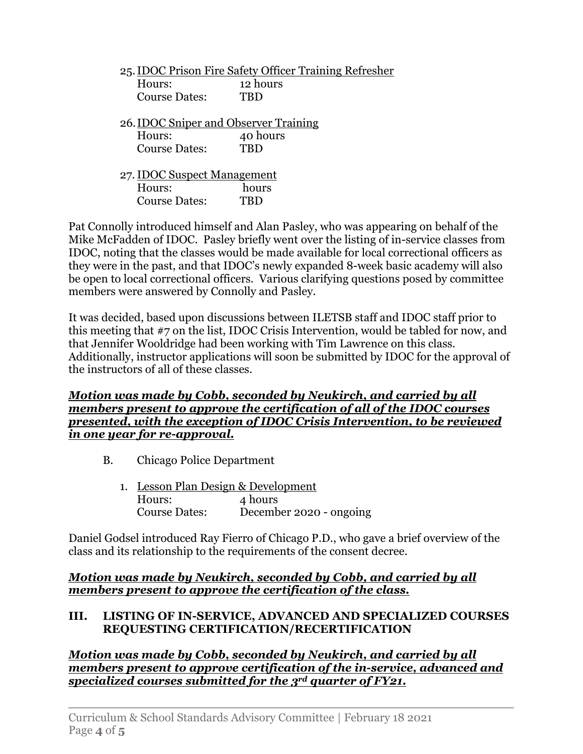|                                       |                             | 25. IDOC Prison Fire Safety Officer Training Refresher |  |
|---------------------------------------|-----------------------------|--------------------------------------------------------|--|
|                                       | Hours:                      | 12 hours                                               |  |
|                                       | <b>Course Dates:</b>        | TRD                                                    |  |
|                                       |                             |                                                        |  |
| 26. IDOC Sniper and Observer Training |                             |                                                        |  |
|                                       | Hours:                      | 40 hours                                               |  |
|                                       | <b>Course Dates:</b>        | TBD                                                    |  |
|                                       |                             |                                                        |  |
|                                       | 27. IDOC Suspect Management |                                                        |  |
|                                       | Hours:                      | hours                                                  |  |
|                                       | <b>Course Dates:</b>        | 'RD                                                    |  |
|                                       |                             |                                                        |  |

Pat Connolly introduced himself and Alan Pasley, who was appearing on behalf of the Mike McFadden of IDOC. Pasley briefly went over the listing of in-service classes from IDOC, noting that the classes would be made available for local correctional officers as they were in the past, and that IDOC's newly expanded 8-week basic academy will also be open to local correctional officers. Various clarifying questions posed by committee members were answered by Connolly and Pasley.

It was decided, based upon discussions between ILETSB staff and IDOC staff prior to this meeting that #7 on the list, IDOC Crisis Intervention, would be tabled for now, and that Jennifer Wooldridge had been working with Tim Lawrence on this class. Additionally, instructor applications will soon be submitted by IDOC for the approval of the instructors of all of these classes.

### *Motion was made by Cobb, seconded by Neukirch, and carried by all members present to approve the certification of all of the IDOC courses presented, with the exception of IDOC Crisis Intervention, to be reviewed in one year for re-approval.*

- B. Chicago Police Department
	- 1. Lesson Plan Design & Development Hours: 4 hours Course Dates: December 2020 - ongoing

Daniel Godsel introduced Ray Fierro of Chicago P.D., who gave a brief overview of the class and its relationship to the requirements of the consent decree.

## *Motion was made by Neukirch, seconded by Cobb, and carried by all members present to approve the certification of the class.*

## **III. LISTING OF IN-SERVICE, ADVANCED AND SPECIALIZED COURSES REQUESTING CERTIFICATION/RECERTIFICATION**

*Motion was made by Cobb, seconded by Neukirch, and carried by all members present to approve certification of the in-service, advanced and specialized courses submitted for the 3rd quarter of FY21.*